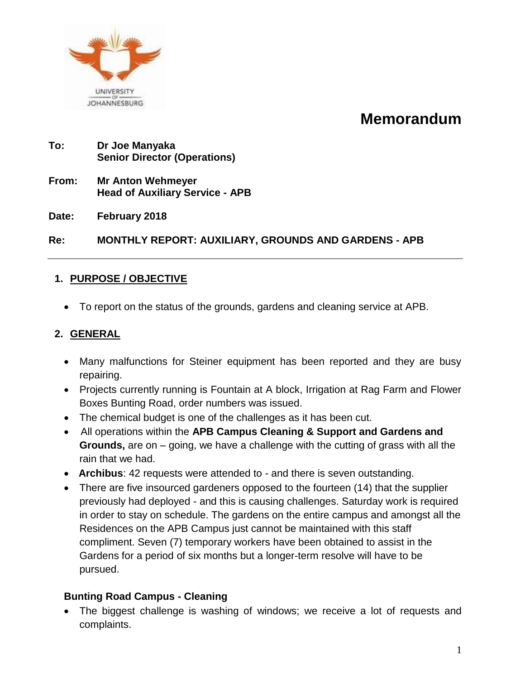

# **Memorandum**

- **To: Dr Joe Manyaka Senior Director (Operations)**
- **From: Mr Anton Wehmeyer Head of Auxiliary Service - APB**
- **Date: February 2018**

**Re: MONTHLY REPORT: AUXILIARY, GROUNDS AND GARDENS - APB**

### **1. PURPOSE / OBJECTIVE**

To report on the status of the grounds, gardens and cleaning service at APB.

### **2. GENERAL**

- Many malfunctions for Steiner equipment has been reported and they are busy repairing.
- Projects currently running is Fountain at A block, Irrigation at Rag Farm and Flower Boxes Bunting Road, order numbers was issued.
- The chemical budget is one of the challenges as it has been cut.
- All operations within the **APB Campus Cleaning & Support and Gardens and Grounds,** are on – going, we have a challenge with the cutting of grass with all the rain that we had.
- **Archibus**: 42 requests were attended to and there is seven outstanding.
- There are five insourced gardeners opposed to the fourteen (14) that the supplier previously had deployed - and this is causing challenges. Saturday work is required in order to stay on schedule. The gardens on the entire campus and amongst all the Residences on the APB Campus just cannot be maintained with this staff compliment. Seven (7) temporary workers have been obtained to assist in the Gardens for a period of six months but a longer-term resolve will have to be pursued.

### **Bunting Road Campus - Cleaning**

 The biggest challenge is washing of windows; we receive a lot of requests and complaints.